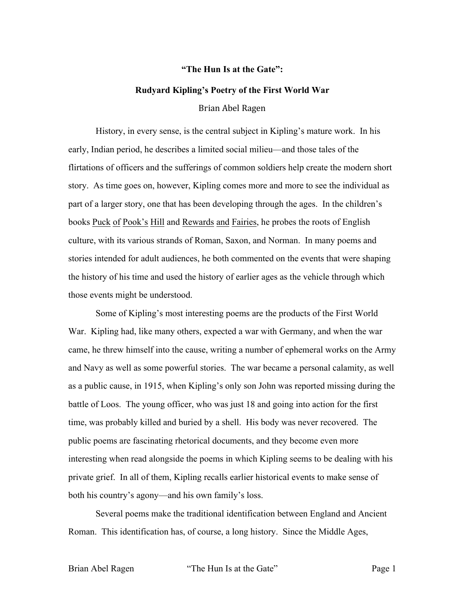## **"The Hun Is at the Gate":**

## **Rudyard Kipling's Poetry of the First World War**

Brian Abel Ragen

History, in every sense, is the central subject in Kipling's mature work. In his early, Indian period, he describes a limited social milieu—and those tales of the flirtations of officers and the sufferings of common soldiers help create the modern short story. As time goes on, however, Kipling comes more and more to see the individual as part of a larger story, one that has been developing through the ages. In the children's books Puck of Pook's Hill and Rewards and Fairies, he probes the roots of English culture, with its various strands of Roman, Saxon, and Norman. In many poems and stories intended for adult audiences, he both commented on the events that were shaping the history of his time and used the history of earlier ages as the vehicle through which those events might be understood.

Some of Kipling's most interesting poems are the products of the First World War. Kipling had, like many others, expected a war with Germany, and when the war came, he threw himself into the cause, writing a number of ephemeral works on the Army and Navy as well as some powerful stories. The war became a personal calamity, as well as a public cause, in 1915, when Kipling's only son John was reported missing during the battle of Loos. The young officer, who was just 18 and going into action for the first time, was probably killed and buried by a shell. His body was never recovered. The public poems are fascinating rhetorical documents, and they become even more interesting when read alongside the poems in which Kipling seems to be dealing with his private grief. In all of them, Kipling recalls earlier historical events to make sense of both his country's agony—and his own family's loss.

Several poems make the traditional identification between England and Ancient Roman. This identification has, of course, a long history. Since the Middle Ages,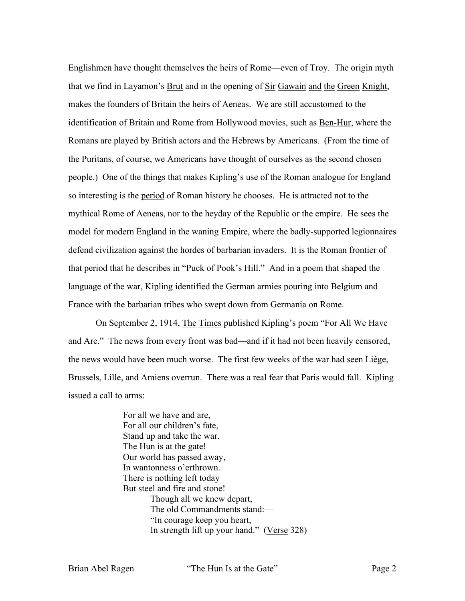Englishmen have thought themselves the heirs of Rome—even of Troy. The origin myth that we find in Layamon's Brut and in the opening of Sir Gawain and the Green Knight, makes the founders of Britain the heirs of Aeneas. We are still accustomed to the identification of Britain and Rome from Hollywood movies, such as Ben-Hur, where the Romans are played by British actors and the Hebrews by Americans. (From the time of the Puritans, of course, we Americans have thought of ourselves as the second chosen people.) One of the things that makes Kipling's use of the Roman analogue for England so interesting is the period of Roman history he chooses. He is attracted not to the mythical Rome of Aeneas, nor to the heyday of the Republic or the empire. He sees the model for modern England in the waning Empire, where the badly-supported legionnaires defend civilization against the hordes of barbarian invaders. It is the Roman frontier of that period that he describes in "Puck of Pook's Hill." And in a poem that shaped the language of the war, Kipling identified the German armies pouring into Belgium and France with the barbarian tribes who swept down from Germania on Rome.

On September 2, 1914, The Times published Kipling's poem "For All We Have and Are." The news from every front was bad—and if it had not been heavily censored, the news would have been much worse. The first few weeks of the war had seen Liège, Brussels, Lille, and Amiens overrun. There was a real fear that Paris would fall. Kipling issued a call to arms:

> For all we have and are, For all our children's fate, Stand up and take the war. The Hun is at the gate! Our world has passed away, In wantonness o'erthrown. There is nothing left today But steel and fire and stone! Though all we knew depart, The old Commandments stand:— "In courage keep you heart, In strength lift up your hand." (Verse 328)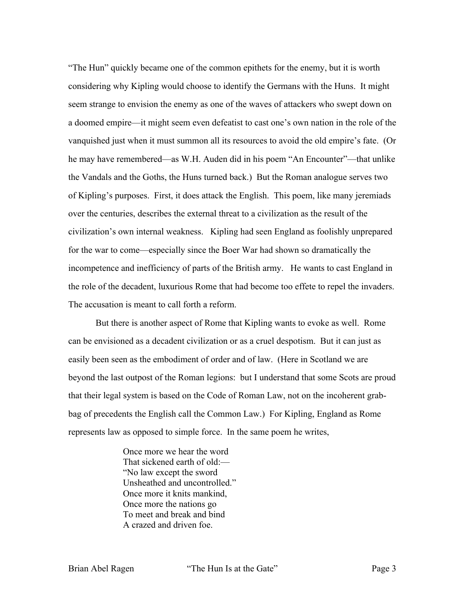"The Hun" quickly became one of the common epithets for the enemy, but it is worth considering why Kipling would choose to identify the Germans with the Huns. It might seem strange to envision the enemy as one of the waves of attackers who swept down on a doomed empire—it might seem even defeatist to cast one's own nation in the role of the vanquished just when it must summon all its resources to avoid the old empire's fate. (Or he may have remembered—as W.H. Auden did in his poem "An Encounter"—that unlike the Vandals and the Goths, the Huns turned back.) But the Roman analogue serves two of Kipling's purposes. First, it does attack the English. This poem, like many jeremiads over the centuries, describes the external threat to a civilization as the result of the civilization's own internal weakness. Kipling had seen England as foolishly unprepared for the war to come—especially since the Boer War had shown so dramatically the incompetence and inefficiency of parts of the British army. He wants to cast England in the role of the decadent, luxurious Rome that had become too effete to repel the invaders. The accusation is meant to call forth a reform.

But there is another aspect of Rome that Kipling wants to evoke as well. Rome can be envisioned as a decadent civilization or as a cruel despotism. But it can just as easily been seen as the embodiment of order and of law. (Here in Scotland we are beyond the last outpost of the Roman legions: but I understand that some Scots are proud that their legal system is based on the Code of Roman Law, not on the incoherent grabbag of precedents the English call the Common Law.) For Kipling, England as Rome represents law as opposed to simple force. In the same poem he writes,

> Once more we hear the word That sickened earth of old:— "No law except the sword Unsheathed and uncontrolled." Once more it knits mankind, Once more the nations go To meet and break and bind A crazed and driven foe.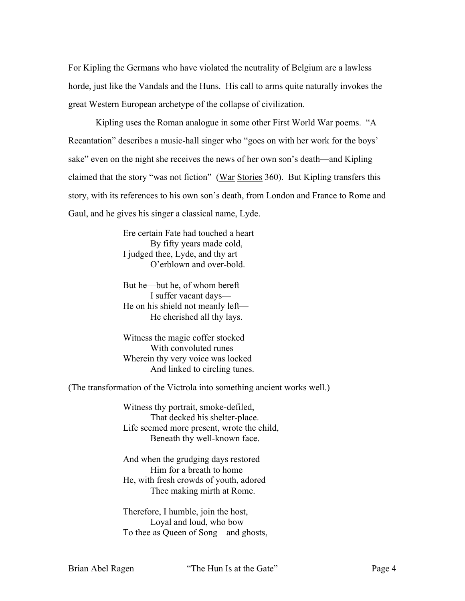For Kipling the Germans who have violated the neutrality of Belgium are a lawless horde, just like the Vandals and the Huns. His call to arms quite naturally invokes the great Western European archetype of the collapse of civilization.

Kipling uses the Roman analogue in some other First World War poems. "A Recantation" describes a music-hall singer who "goes on with her work for the boys' sake" even on the night she receives the news of her own son's death—and Kipling claimed that the story "was not fiction" (War Stories 360). But Kipling transfers this story, with its references to his own son's death, from London and France to Rome and Gaul, and he gives his singer a classical name, Lyde.

> Ere certain Fate had touched a heart By fifty years made cold, I judged thee, Lyde, and thy art O'erblown and over-bold.

But he—but he, of whom bereft I suffer vacant days— He on his shield not meanly left— He cherished all thy lays.

Witness the magic coffer stocked With convoluted runes Wherein thy very voice was locked And linked to circling tunes.

(The transformation of the Victrola into something ancient works well.)

Witness thy portrait, smoke-defiled, That decked his shelter-place. Life seemed more present, wrote the child, Beneath thy well-known face.

And when the grudging days restored Him for a breath to home He, with fresh crowds of youth, adored Thee making mirth at Rome.

Therefore, I humble, join the host, Loyal and loud, who bow To thee as Queen of Song—and ghosts,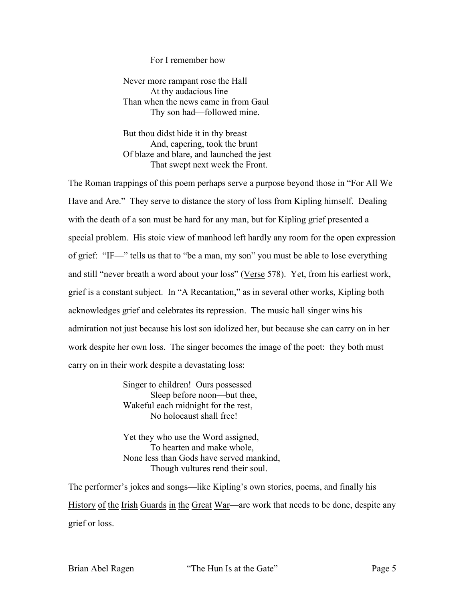## For I remember how

Never more rampant rose the Hall At thy audacious line Than when the news came in from Gaul Thy son had—followed mine.

But thou didst hide it in thy breast And, capering, took the brunt Of blaze and blare, and launched the jest That swept next week the Front.

The Roman trappings of this poem perhaps serve a purpose beyond those in "For All We Have and Are." They serve to distance the story of loss from Kipling himself. Dealing with the death of a son must be hard for any man, but for Kipling grief presented a special problem. His stoic view of manhood left hardly any room for the open expression of grief: "IF—" tells us that to "be a man, my son" you must be able to lose everything and still "never breath a word about your loss" (Verse 578). Yet, from his earliest work, grief is a constant subject. In "A Recantation," as in several other works, Kipling both acknowledges grief and celebrates its repression. The music hall singer wins his admiration not just because his lost son idolized her, but because she can carry on in her work despite her own loss. The singer becomes the image of the poet: they both must carry on in their work despite a devastating loss:

> Singer to children! Ours possessed Sleep before noon—but thee, Wakeful each midnight for the rest, No holocaust shall free!

Yet they who use the Word assigned, To hearten and make whole, None less than Gods have served mankind, Though vultures rend their soul.

The performer's jokes and songs—like Kipling's own stories, poems, and finally his History of the Irish Guards in the Great War—are work that needs to be done, despite any grief or loss.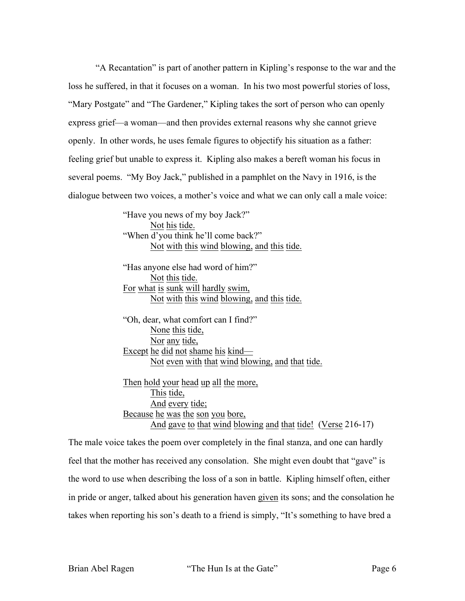"A Recantation" is part of another pattern in Kipling's response to the war and the loss he suffered, in that it focuses on a woman. In his two most powerful stories of loss, "Mary Postgate" and "The Gardener," Kipling takes the sort of person who can openly express grief—a woman—and then provides external reasons why she cannot grieve openly. In other words, he uses female figures to objectify his situation as a father: feeling grief but unable to express it. Kipling also makes a bereft woman his focus in several poems. "My Boy Jack," published in a pamphlet on the Navy in 1916, is the dialogue between two voices, a mother's voice and what we can only call a male voice:

> "Have you news of my boy Jack?" Not his tide. "When d'you think he'll come back?" Not with this wind blowing, and this tide.

> "Has anyone else had word of him?" Not this tide. For what is sunk will hardly swim, Not with this wind blowing, and this tide.

"Oh, dear, what comfort can I find?" None this tide, Nor any tide, Except he did not shame his kind— Not even with that wind blowing, and that tide.

Then hold your head up all the more, This tide, And every tide; Because he was the son you bore, And gave to that wind blowing and that tide! (Verse 216-17)

The male voice takes the poem over completely in the final stanza, and one can hardly feel that the mother has received any consolation. She might even doubt that "gave" is the word to use when describing the loss of a son in battle. Kipling himself often, either in pride or anger, talked about his generation haven given its sons; and the consolation he takes when reporting his son's death to a friend is simply, "It's something to have bred a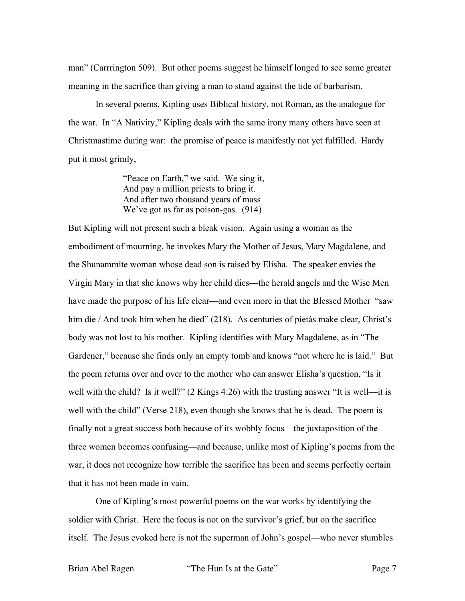man" (Carrrington 509). But other poems suggest he himself longed to see some greater meaning in the sacrifice than giving a man to stand against the tide of barbarism.

In several poems, Kipling uses Biblical history, not Roman, as the analogue for the war. In "A Nativity," Kipling deals with the same irony many others have seen at Christmastime during war: the promise of peace is manifestly not yet fulfilled. Hardy put it most grimly,

> "Peace on Earth," we said. We sing it, And pay a million priests to bring it. And after two thousand years of mass We've got as far as poison-gas. (914)

But Kipling will not present such a bleak vision. Again using a woman as the embodiment of mourning, he invokes Mary the Mother of Jesus, Mary Magdalene, and the Shunammite woman whose dead son is raised by Elisha. The speaker envies the Virgin Mary in that she knows why her child dies—the herald angels and the Wise Men have made the purpose of his life clear—and even more in that the Blessed Mother "saw him die / And took him when he died" (218). As centuries of pietàs make clear, Christ's body was not lost to his mother. Kipling identifies with Mary Magdalene, as in "The Gardener," because she finds only an empty tomb and knows "not where he is laid." But the poem returns over and over to the mother who can answer Elisha's question, "Is it well with the child? Is it well?" (2 Kings 4:26) with the trusting answer "It is well—it is well with the child" (Verse 218), even though she knows that he is dead. The poem is finally not a great success both because of its wobbly focus—the juxtaposition of the three women becomes confusing—and because, unlike most of Kipling's poems from the war, it does not recognize how terrible the sacrifice has been and seems perfectly certain that it has not been made in vain.

One of Kipling's most powerful poems on the war works by identifying the soldier with Christ. Here the focus is not on the survivor's grief, but on the sacrifice itself. The Jesus evoked here is not the superman of John's gospel—who never stumbles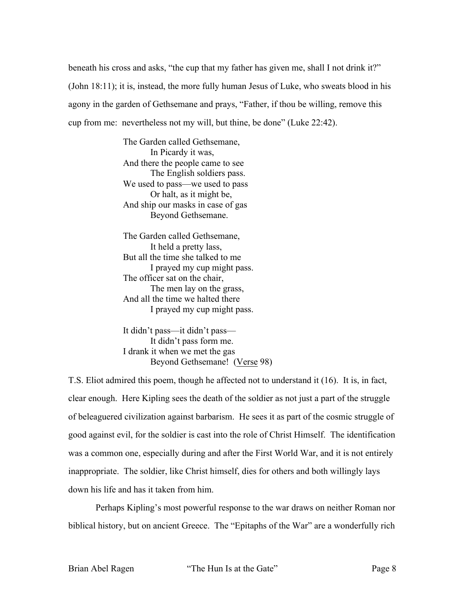beneath his cross and asks, "the cup that my father has given me, shall I not drink it?" (John 18:11); it is, instead, the more fully human Jesus of Luke, who sweats blood in his agony in the garden of Gethsemane and prays, "Father, if thou be willing, remove this cup from me: nevertheless not my will, but thine, be done" (Luke 22:42).

> The Garden called Gethsemane, In Picardy it was, And there the people came to see The English soldiers pass. We used to pass—we used to pass Or halt, as it might be, And ship our masks in case of gas Beyond Gethsemane.

The Garden called Gethsemane, It held a pretty lass, But all the time she talked to me I prayed my cup might pass. The officer sat on the chair, The men lay on the grass, And all the time we halted there I prayed my cup might pass.

It didn't pass—it didn't pass— It didn't pass form me. I drank it when we met the gas Beyond Gethsemane! (Verse 98)

T.S. Eliot admired this poem, though he affected not to understand it (16). It is, in fact, clear enough. Here Kipling sees the death of the soldier as not just a part of the struggle of beleaguered civilization against barbarism. He sees it as part of the cosmic struggle of good against evil, for the soldier is cast into the role of Christ Himself. The identification was a common one, especially during and after the First World War, and it is not entirely inappropriate. The soldier, like Christ himself, dies for others and both willingly lays down his life and has it taken from him.

Perhaps Kipling's most powerful response to the war draws on neither Roman nor biblical history, but on ancient Greece. The "Epitaphs of the War" are a wonderfully rich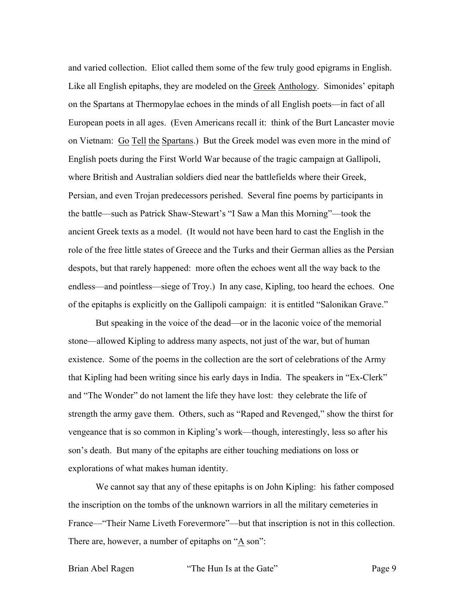and varied collection. Eliot called them some of the few truly good epigrams in English. Like all English epitaphs, they are modeled on the Greek Anthology. Simonides' epitaph on the Spartans at Thermopylae echoes in the minds of all English poets—in fact of all European poets in all ages. (Even Americans recall it: think of the Burt Lancaster movie on Vietnam: Go Tell the Spartans.) But the Greek model was even more in the mind of English poets during the First World War because of the tragic campaign at Gallipoli, where British and Australian soldiers died near the battlefields where their Greek, Persian, and even Trojan predecessors perished. Several fine poems by participants in the battle—such as Patrick Shaw-Stewart's "I Saw a Man this Morning"—took the ancient Greek texts as a model. (It would not have been hard to cast the English in the role of the free little states of Greece and the Turks and their German allies as the Persian despots, but that rarely happened: more often the echoes went all the way back to the endless—and pointless—siege of Troy.) In any case, Kipling, too heard the echoes. One of the epitaphs is explicitly on the Gallipoli campaign: it is entitled "Salonikan Grave."

But speaking in the voice of the dead—or in the laconic voice of the memorial stone—allowed Kipling to address many aspects, not just of the war, but of human existence. Some of the poems in the collection are the sort of celebrations of the Army that Kipling had been writing since his early days in India. The speakers in "Ex-Clerk" and "The Wonder" do not lament the life they have lost: they celebrate the life of strength the army gave them. Others, such as "Raped and Revenged," show the thirst for vengeance that is so common in Kipling's work—though, interestingly, less so after his son's death. But many of the epitaphs are either touching mediations on loss or explorations of what makes human identity.

We cannot say that any of these epitaphs is on John Kipling: his father composed the inscription on the tombs of the unknown warriors in all the military cemeteries in France—"Their Name Liveth Forevermore"—but that inscription is not in this collection. There are, however, a number of epitaphs on " $\underline{A}$  son":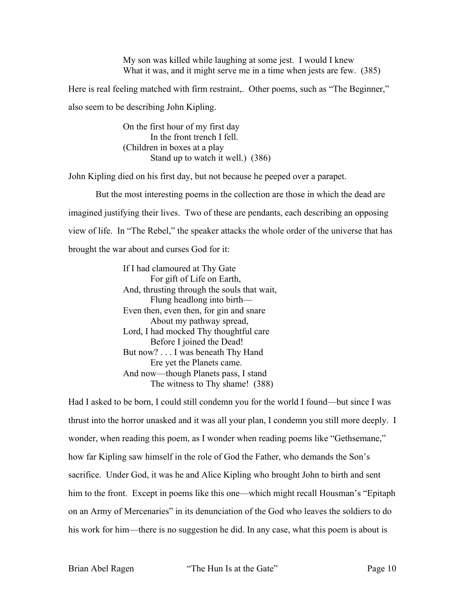My son was killed while laughing at some jest. I would I knew What it was, and it might serve me in a time when jests are few. (385)

Here is real feeling matched with firm restraint,. Other poems, such as "The Beginner," also seem to be describing John Kipling.

> On the first hour of my first day In the front trench I fell. (Children in boxes at a play Stand up to watch it well.) (386)

John Kipling died on his first day, but not because he peeped over a parapet.

But the most interesting poems in the collection are those in which the dead are imagined justifying their lives. Two of these are pendants, each describing an opposing view of life. In "The Rebel," the speaker attacks the whole order of the universe that has brought the war about and curses God for it:

> If I had clamoured at Thy Gate For gift of Life on Earth, And, thrusting through the souls that wait, Flung headlong into birth— Even then, even then, for gin and snare About my pathway spread, Lord, I had mocked Thy thoughtful care Before I joined the Dead! But now? . . . I was beneath Thy Hand Ere yet the Planets came. And now—though Planets pass, I stand The witness to Thy shame! (388)

Had I asked to be born, I could still condemn you for the world I found—but since I was thrust into the horror unasked and it was all your plan, I condemn you still more deeply. I wonder, when reading this poem, as I wonder when reading poems like "Gethsemane," how far Kipling saw himself in the role of God the Father, who demands the Son's sacrifice. Under God, it was he and Alice Kipling who brought John to birth and sent him to the front. Except in poems like this one—which might recall Housman's "Epitaph on an Army of Mercenaries" in its denunciation of the God who leaves the soldiers to do his work for him—there is no suggestion he did. In any case, what this poem is about is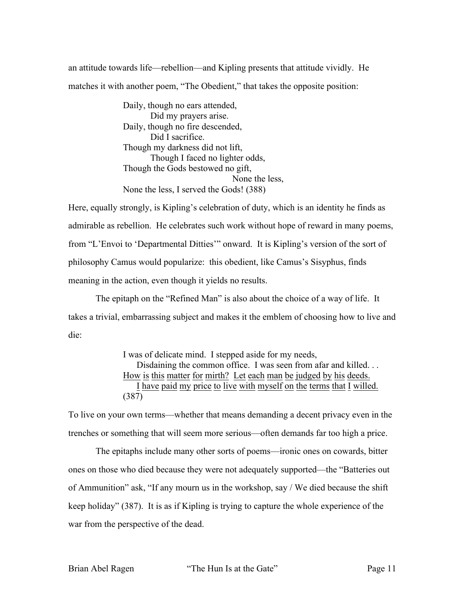an attitude towards life—rebellion—and Kipling presents that attitude vividly. He matches it with another poem, "The Obedient," that takes the opposite position:

> Daily, though no ears attended, Did my prayers arise. Daily, though no fire descended, Did I sacrifice. Though my darkness did not lift, Though I faced no lighter odds, Though the Gods bestowed no gift, None the less, None the less, I served the Gods! (388)

Here, equally strongly, is Kipling's celebration of duty, which is an identity he finds as admirable as rebellion. He celebrates such work without hope of reward in many poems, from "L'Envoi to 'Departmental Ditties'" onward. It is Kipling's version of the sort of philosophy Camus would popularize: this obedient, like Camus's Sisyphus, finds meaning in the action, even though it yields no results.

The epitaph on the "Refined Man" is also about the choice of a way of life. It takes a trivial, embarrassing subject and makes it the emblem of choosing how to live and die:

> I was of delicate mind. I stepped aside for my needs, Disdaining the common office. I was seen from afar and killed. . . How is this matter for mirth? Let each man be judged by his deeds. I have paid my price to live with myself on the terms that I willed. (387)

To live on your own terms—whether that means demanding a decent privacy even in the trenches or something that will seem more serious—often demands far too high a price.

The epitaphs include many other sorts of poems—ironic ones on cowards, bitter ones on those who died because they were not adequately supported—the "Batteries out of Ammunition" ask, "If any mourn us in the workshop, say / We died because the shift keep holiday" (387). It is as if Kipling is trying to capture the whole experience of the war from the perspective of the dead.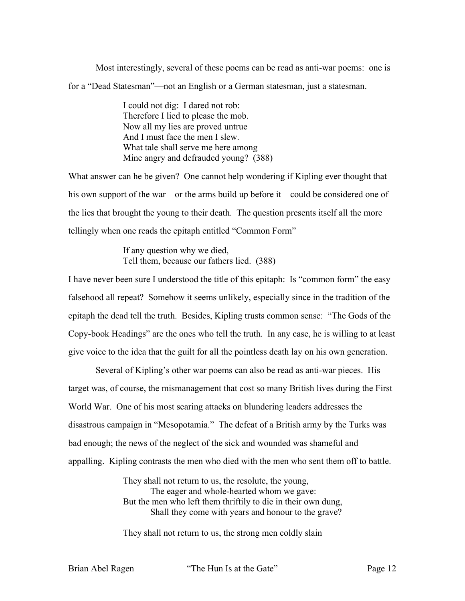Most interestingly, several of these poems can be read as anti-war poems: one is for a "Dead Statesman"—not an English or a German statesman, just a statesman.

> I could not dig: I dared not rob: Therefore I lied to please the mob. Now all my lies are proved untrue And I must face the men I slew. What tale shall serve me here among Mine angry and defrauded young? (388)

What answer can he be given? One cannot help wondering if Kipling ever thought that his own support of the war—or the arms build up before it—could be considered one of the lies that brought the young to their death. The question presents itself all the more tellingly when one reads the epitaph entitled "Common Form"

> If any question why we died, Tell them, because our fathers lied. (388)

I have never been sure I understood the title of this epitaph: Is "common form" the easy falsehood all repeat? Somehow it seems unlikely, especially since in the tradition of the epitaph the dead tell the truth. Besides, Kipling trusts common sense: "The Gods of the Copy-book Headings" are the ones who tell the truth. In any case, he is willing to at least give voice to the idea that the guilt for all the pointless death lay on his own generation.

Several of Kipling's other war poems can also be read as anti-war pieces. His target was, of course, the mismanagement that cost so many British lives during the First World War. One of his most searing attacks on blundering leaders addresses the disastrous campaign in "Mesopotamia." The defeat of a British army by the Turks was bad enough; the news of the neglect of the sick and wounded was shameful and appalling. Kipling contrasts the men who died with the men who sent them off to battle.

> They shall not return to us, the resolute, the young, The eager and whole-hearted whom we gave: But the men who left them thriftily to die in their own dung, Shall they come with years and honour to the grave?

They shall not return to us, the strong men coldly slain

Brian Abel Ragen "The Hun Is at the Gate" Page 12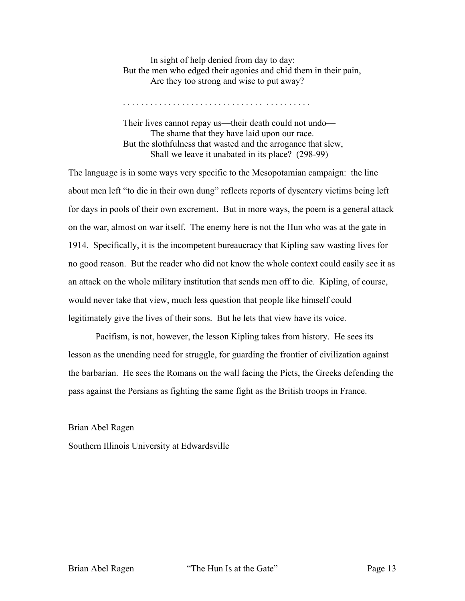In sight of help denied from day to day: But the men who edged their agonies and chid them in their pain, Are they too strong and wise to put away?

Their lives cannot repay us—their death could not undo— The shame that they have laid upon our race. But the slothfulness that wasted and the arrogance that slew, Shall we leave it unabated in its place? (298-99)

The language is in some ways very specific to the Mesopotamian campaign: the line about men left "to die in their own dung" reflects reports of dysentery victims being left for days in pools of their own excrement. But in more ways, the poem is a general attack on the war, almost on war itself. The enemy here is not the Hun who was at the gate in 1914. Specifically, it is the incompetent bureaucracy that Kipling saw wasting lives for no good reason. But the reader who did not know the whole context could easily see it as an attack on the whole military institution that sends men off to die. Kipling, of course, would never take that view, much less question that people like himself could legitimately give the lives of their sons. But he lets that view have its voice.

Pacifism, is not, however, the lesson Kipling takes from history. He sees its lesson as the unending need for struggle, for guarding the frontier of civilization against the barbarian. He sees the Romans on the wall facing the Picts, the Greeks defending the pass against the Persians as fighting the same fight as the British troops in France.

Brian Abel Ragen

Southern Illinois University at Edwardsville